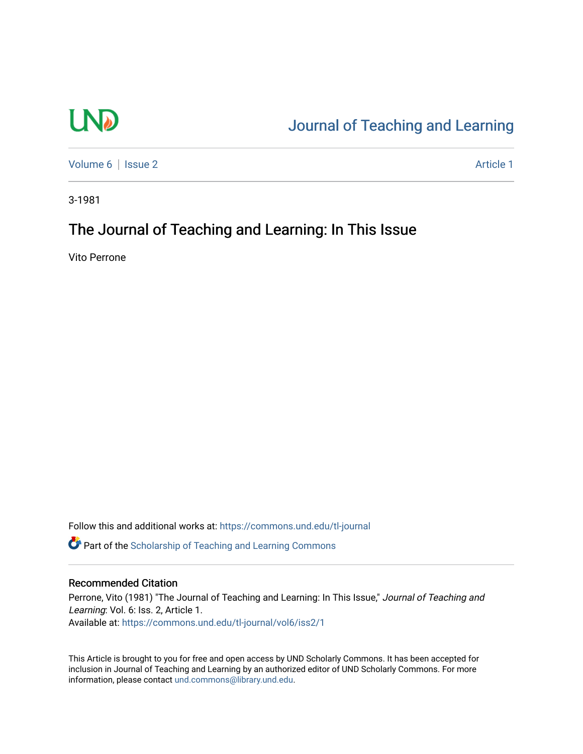# **LND**

## [Journal of Teaching and Learning](https://commons.und.edu/tl-journal)

[Volume 6](https://commons.und.edu/tl-journal/vol6) | [Issue 2](https://commons.und.edu/tl-journal/vol6/iss2) Article 1

3-1981

## The Journal of Teaching and Learning: In This Issue

Vito Perrone

Follow this and additional works at: [https://commons.und.edu/tl-journal](https://commons.und.edu/tl-journal?utm_source=commons.und.edu%2Ftl-journal%2Fvol6%2Fiss2%2F1&utm_medium=PDF&utm_campaign=PDFCoverPages)

**C** Part of the Scholarship of Teaching and Learning Commons

#### Recommended Citation

Perrone, Vito (1981) "The Journal of Teaching and Learning: In This Issue," Journal of Teaching and Learning: Vol. 6: Iss. 2, Article 1. Available at: [https://commons.und.edu/tl-journal/vol6/iss2/1](https://commons.und.edu/tl-journal/vol6/iss2/1?utm_source=commons.und.edu%2Ftl-journal%2Fvol6%2Fiss2%2F1&utm_medium=PDF&utm_campaign=PDFCoverPages) 

This Article is brought to you for free and open access by UND Scholarly Commons. It has been accepted for inclusion in Journal of Teaching and Learning by an authorized editor of UND Scholarly Commons. For more information, please contact [und.commons@library.und.edu.](mailto:und.commons@library.und.edu)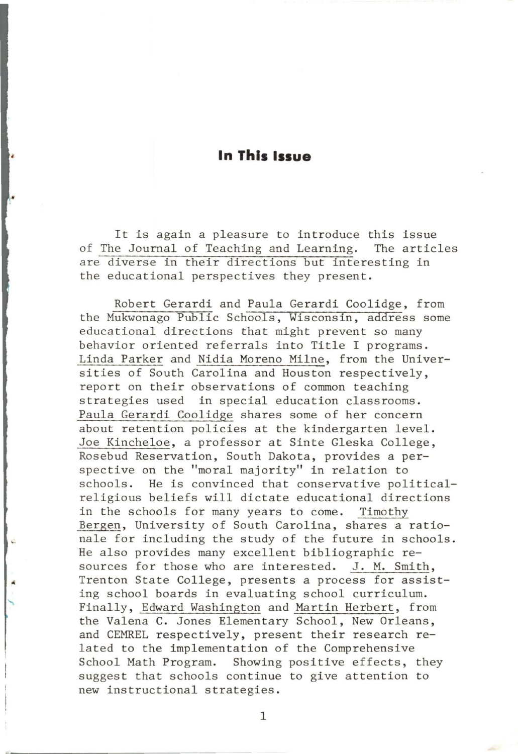### **In This Issue**

It is again a pleasure to introduce this issue of The Journal of Teaching and Learning. The articles are diverse in their directions but interesting in the educational perspectives they present.

Robert Gerardi and Paula Gerardi Coolidge, from the Mukwonago Public Schools, Wisconsin, address some educational directions that might prevent so many behavior oriented referrals into Title I programs. Linda Parker and Nidia Moreno Milne, from the Universities of South Carolina and Houston respectively, report on their observations of common teaching strategies used in special education classrooms. Paula Gerardi Coolidge shares some of her concern about retention policies at the kindergarten level. Joe Kincheloe, a professor at Sinte Gleska College, Rosebud Reservation, South Dakota, provides a perspective on the "moral majority" in relation to schools. He is convinced that conservative politicalreligious beliefs will dictate educational directions in the schools for many years to come. Timothy Bergen, University of South Carolina, shares a rationale for including the study of the future in schools. He also provides many excellent bibliographic resources for those who are interested. J. M. Smith, Trenton State College, presents a process for assisting school boards in evaluating school curriculum. Finally, Edward Washington and Martin Herbert, from the Valena C. Jones Elementary School, New Orleans, and CEMREL respectively, present their research related to the implementation of the Comprehensive School Math Program. Showing positive effects, they suggest that schools continue to give attention to new instructional strategies.

1